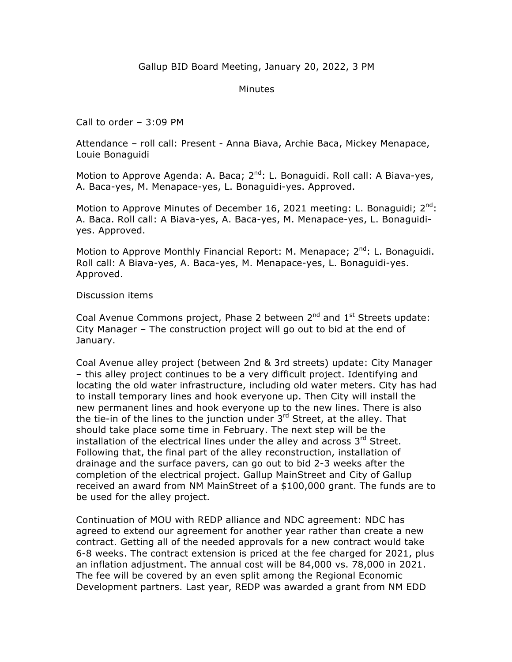## Minutes

Call to order – 3:09 PM

Attendance – roll call: Present - Anna Biava, Archie Baca, Mickey Menapace, Louie Bonaguidi

Motion to Approve Agenda: A. Baca; 2<sup>nd</sup>: L. Bonaguidi. Roll call: A Biava-yes, A. Baca-yes, M. Menapace-yes, L. Bonaguidi-yes. Approved.

Motion to Approve Minutes of December 16, 2021 meeting: L. Bonaguidi;  $2^{nd}$ : A. Baca. Roll call: A Biava-yes, A. Baca-yes, M. Menapace-yes, L. Bonaguidiyes. Approved.

Motion to Approve Monthly Financial Report: M. Menapace;  $2^{nd}$ : L. Bonaguidi. Roll call: A Biava-yes, A. Baca-yes, M. Menapace-yes, L. Bonaguidi-yes. Approved.

## Discussion items

Coal Avenue Commons project, Phase 2 between  $2^{nd}$  and  $1^{st}$  Streets update: City Manager – The construction project will go out to bid at the end of January.

Coal Avenue alley project (between 2nd & 3rd streets) update: City Manager – this alley project continues to be a very difficult project. Identifying and locating the old water infrastructure, including old water meters. City has had to install temporary lines and hook everyone up. Then City will install the new permanent lines and hook everyone up to the new lines. There is also the tie-in of the lines to the junction under  $3<sup>rd</sup>$  Street, at the alley. That should take place some time in February. The next step will be the installation of the electrical lines under the alley and across  $3<sup>rd</sup>$  Street. Following that, the final part of the alley reconstruction, installation of drainage and the surface pavers, can go out to bid 2-3 weeks after the completion of the electrical project. Gallup MainStreet and City of Gallup received an award from NM MainStreet of a \$100,000 grant. The funds are to be used for the alley project.

Continuation of MOU with REDP alliance and NDC agreement: NDC has agreed to extend our agreement for another year rather than create a new contract. Getting all of the needed approvals for a new contract would take 6-8 weeks. The contract extension is priced at the fee charged for 2021, plus an inflation adjustment. The annual cost will be 84,000 vs. 78,000 in 2021. The fee will be covered by an even split among the Regional Economic Development partners. Last year, REDP was awarded a grant from NM EDD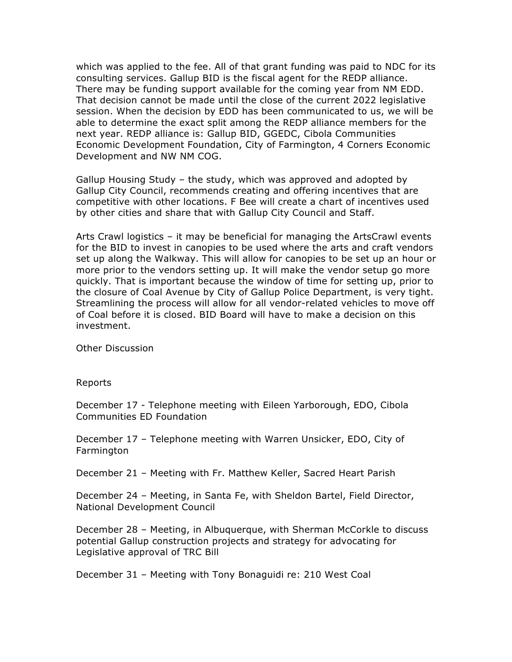which was applied to the fee. All of that grant funding was paid to NDC for its consulting services. Gallup BID is the fiscal agent for the REDP alliance. There may be funding support available for the coming year from NM EDD. That decision cannot be made until the close of the current 2022 legislative session. When the decision by EDD has been communicated to us, we will be able to determine the exact split among the REDP alliance members for the next year. REDP alliance is: Gallup BID, GGEDC, Cibola Communities Economic Development Foundation, City of Farmington, 4 Corners Economic Development and NW NM COG.

Gallup Housing Study – the study, which was approved and adopted by Gallup City Council, recommends creating and offering incentives that are competitive with other locations. F Bee will create a chart of incentives used by other cities and share that with Gallup City Council and Staff.

Arts Crawl logistics – it may be beneficial for managing the ArtsCrawl events for the BID to invest in canopies to be used where the arts and craft vendors set up along the Walkway. This will allow for canopies to be set up an hour or more prior to the vendors setting up. It will make the vendor setup go more quickly. That is important because the window of time for setting up, prior to the closure of Coal Avenue by City of Gallup Police Department, is very tight. Streamlining the process will allow for all vendor-related vehicles to move off of Coal before it is closed. BID Board will have to make a decision on this investment.

Other Discussion

Reports

December 17 - Telephone meeting with Eileen Yarborough, EDO, Cibola Communities ED Foundation

December 17 – Telephone meeting with Warren Unsicker, EDO, City of Farmington

December 21 – Meeting with Fr. Matthew Keller, Sacred Heart Parish

December 24 – Meeting, in Santa Fe, with Sheldon Bartel, Field Director, National Development Council

December 28 – Meeting, in Albuquerque, with Sherman McCorkle to discuss potential Gallup construction projects and strategy for advocating for Legislative approval of TRC Bill

December 31 – Meeting with Tony Bonaguidi re: 210 West Coal